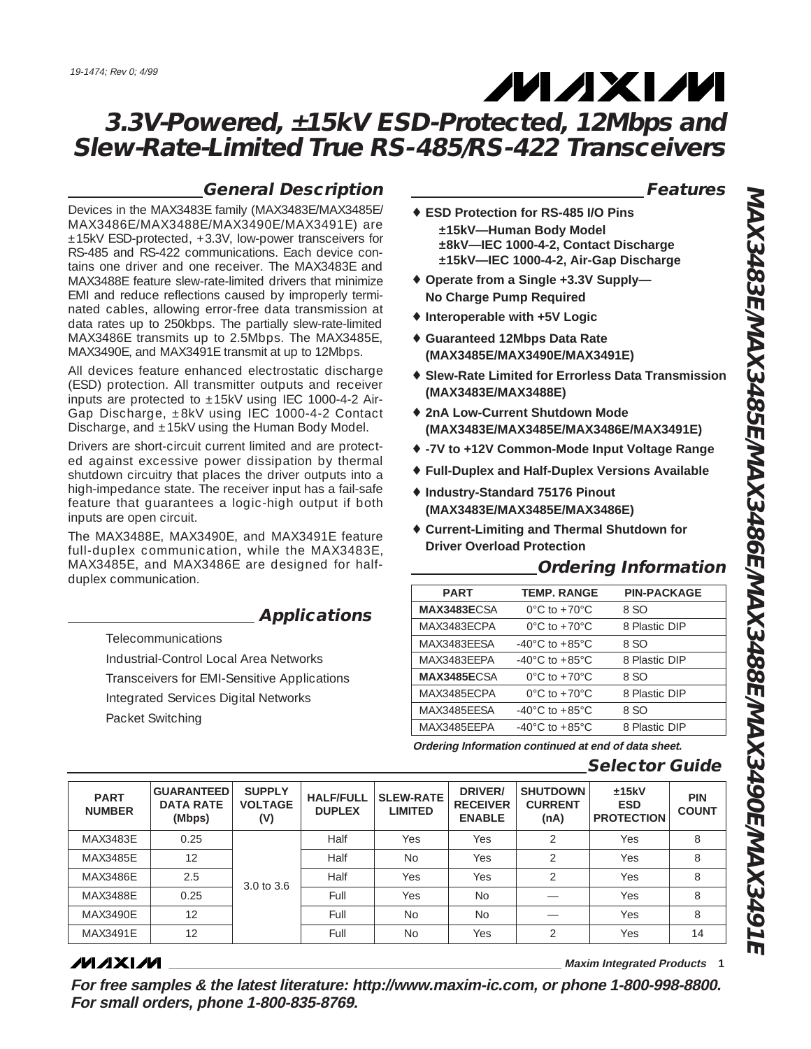### **General Description**

**Applications**

Devices in the MAX3483E family (MAX3483E/MAX3485E/ MAX3486E/MAX3488E/MAX3490E/MAX3491E) are ±15kV ESD-protected, +3.3V, low-power transceivers for RS-485 and RS-422 communications. Each device contains one driver and one receiver. The MAX3483E and MAX3488E feature slew-rate-limited drivers that minimize EMI and reduce reflections caused by improperly terminated cables, allowing error-free data transmission at data rates up to 250kbps. The partially slew-rate-limited MAX3486E transmits up to 2.5Mbps. The MAX3485E, MAX3490E, and MAX3491E transmit at up to 12Mbps. All devices feature enhanced electrostatic discharge (ESD) protection. All transmitter outputs and receiver inputs are protected to  $\pm 15kV$  using IEC 1000-4-2 Air-Gap Discharge, ±8kV using IEC 1000-4-2 Contact Discharge, and ±15kV using the Human Body Model. Drivers are short-circuit current limited and are protected against excessive power dissipation by thermal shutdown circuitry that places the driver outputs into a high-impedance state. The receiver input has a fail-safe feature that guarantees a logic-high output if both

The MAX3488E, MAX3490E, and MAX3491E feature full-duplex communication, while the MAX3483E, MAX3485E, and MAX3486E are designed for half-

> Industrial-Control Local Area Networks Transceivers for EMI-Sensitive Applications

Integrated Services Digital Networks

**Features**

- ♦ **ESD Protection for RS-485 I/O Pins ±15kV—Human Body Model ±8kV—IEC 1000-4-2, Contact Discharge ±15kV—IEC 1000-4-2, Air-Gap Discharge**
- ♦ **Operate from a Single +3.3V Supply— No Charge Pump Required**
- ♦ **Interoperable with +5V Logic**
- ♦ **Guaranteed 12Mbps Data Rate (MAX3485E/MAX3490E/MAX3491E)**
- ♦ **Slew-Rate Limited for Errorless Data Transmission (MAX3483E/MAX3488E)**
- ♦ **2nA Low-Current Shutdown Mode (MAX3483E/MAX3485E/MAX3486E/MAX3491E)**
- ♦ **-7V to +12V Common-Mode Input Voltage Range**
- ♦ **Full-Duplex and Half-Duplex Versions Available**
- ♦ **Industry-Standard 75176 Pinout (MAX3483E/MAX3485E/MAX3486E)**
- ♦ **Current-Limiting and Thermal Shutdown for Driver Overload Protection**

### **Ordering Information**

| <b>PART</b>         | <b>TEMP. RANGE</b>                 | <b>PIN-PACKAGE</b> |
|---------------------|------------------------------------|--------------------|
| MAX3483ECSA         | $0^{\circ}$ C to +70 $^{\circ}$ C  | 8 SO               |
| MAX3483FCPA         | $0^{\circ}$ C to +70 $^{\circ}$ C  | 8 Plastic DIP      |
| MAX3483FFSA         | $-40^{\circ}$ C to $+85^{\circ}$ C | 8 SO               |
| MAX3483EFPA         | $-40^{\circ}$ C to $+85^{\circ}$ C | 8 Plastic DIP      |
| <b>MAX3485E</b> CSA | $0^{\circ}$ C to +70 $^{\circ}$ C  | 8 SO               |
| MAX3485FCPA         | $0^{\circ}$ C to +70 $^{\circ}$ C  | 8 Plastic DIP      |
| MAX3485EFSA         | $-40^{\circ}$ C to $+85^{\circ}$ C | 8 SO               |
| MAX3485FFPA         | $-40^{\circ}$ C to $+85^{\circ}$ C | 8 Plastic DIP      |
|                     |                                    |                    |

**Ordering Information continued at end of data sheet.**

### **Selector Guide**

| <b>PART</b><br><b>NUMBER</b> | <b>GUARANTEED</b><br><b>DATA RATE</b><br>(Mbps) | <b>SUPPLY</b><br><b>VOLTAGE</b><br>(V) | <b>HALF/FULL</b><br><b>DUPLEX</b> | <b>SLEW-RATE</b><br><b>LIMITED</b> | DRIVER/<br><b>RECEIVER</b><br><b>ENABLE</b> | <b>SHUTDOWN</b><br><b>CURRENT</b><br>(nA) | ±15kV<br><b>ESD</b><br><b>PROTECTION</b> | <b>PIN</b><br><b>COUNT</b> |
|------------------------------|-------------------------------------------------|----------------------------------------|-----------------------------------|------------------------------------|---------------------------------------------|-------------------------------------------|------------------------------------------|----------------------------|
| MAX3483E                     | 0.25                                            |                                        | Half                              | Yes                                | Yes                                         | $\mathfrak{D}$                            | Yes                                      | 8                          |
| MAX3485E                     | 12                                              |                                        | Half                              | <b>No</b>                          | Yes                                         | ↷                                         | Yes                                      | 8                          |
| <b>MAX3486E</b>              | 2.5                                             | 3.0 to 3.6                             | Half                              | Yes                                | Yes                                         | $\mathfrak{D}$                            | Yes                                      | 8                          |
| MAX3488E                     | 0.25                                            |                                        | Full                              | Yes                                | No.                                         |                                           | Yes                                      | 8                          |
| MAX3490F                     | 12                                              |                                        | Full                              | <b>No</b>                          | No.                                         |                                           | Yes                                      | 8                          |
| MAX3491E                     | 12                                              |                                        | Full                              | <b>No</b>                          | Yes                                         | $\mathfrak{D}$                            | Yes                                      | 14                         |
|                              |                                                 |                                        |                                   |                                    |                                             |                                           |                                          |                            |

### **MAXIM**

inputs are open circuit.

duplex communication.

Telecommunications

Packet Switching

**\_\_\_\_\_\_\_\_\_\_\_\_\_\_\_\_\_\_\_\_\_\_\_\_\_\_\_\_\_\_\_\_\_\_\_\_\_\_\_\_\_\_\_\_\_\_\_\_\_\_\_\_\_\_\_\_\_\_\_\_\_\_\_\_ Maxim Integrated Products 1**

**For free samples & the latest literature: http://www.maxim-ic.com, or phone 1-800-998-8800. For small orders, phone 1-800-835-8769.**

**MAX3483E/MAX3485E/MAX3486E/MAX3488E/MAX3490E/MAX3491E** VAAX3483EMAX3485EMAX3486EMAX3488EMAX3490EMAX3491E

# **MAXM**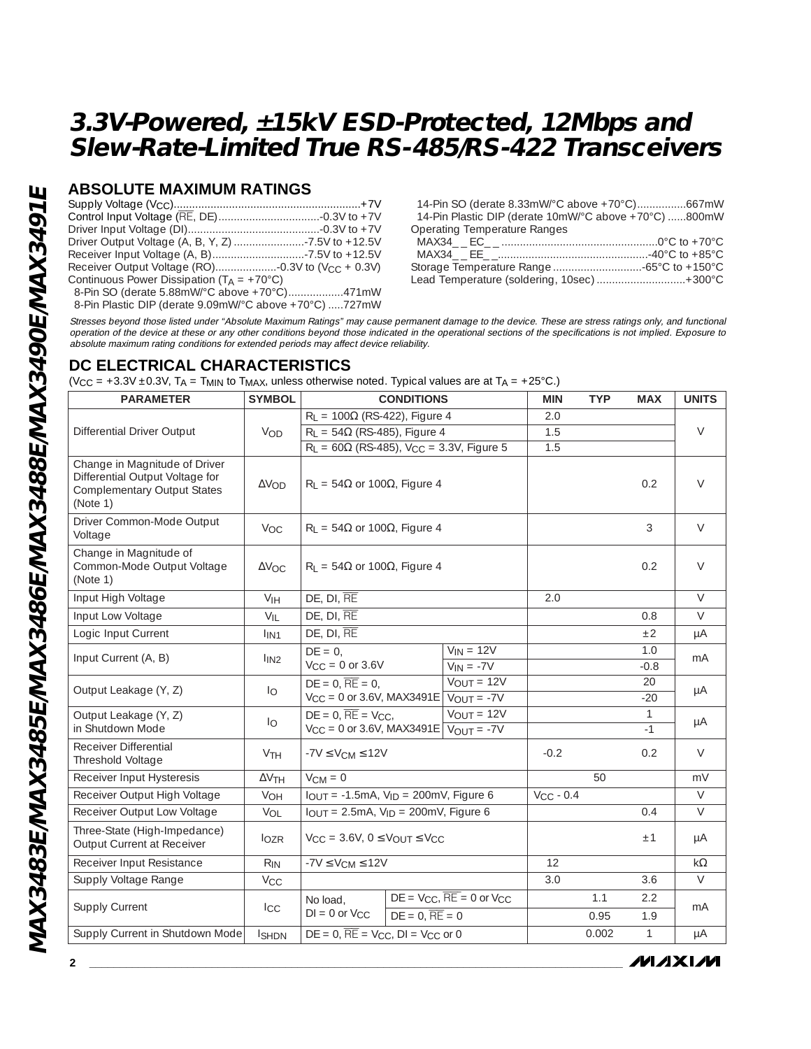### **ABSOLUTE MAXIMUM RATINGS**

| Continuous Power Dissipation ( $T_A = +70^{\circ}C$ ) |  |
|-------------------------------------------------------|--|
| 8-Pin SO (derate 5.88mW/°C above +70°C)471mW          |  |

8-Pin Plastic DIP (derate 9.09mW/°C above +70°C) .....727mW

14-Pin SO (derate 8.33mW/°C above +70°C)................667mW 14-Pin Plastic DIP (derate 10mW/°C above +70°C) ......800mW Operating Temperature Ranges MAX34\_ \_ EC\_ \_ ...................................................0°C to +70°C MAX34\_ \_ EE\_ \_.................................................-40°C to +85°C Storage Temperature Range .............................-65°C to +150°C Lead Temperature (soldering, 10sec) .............................+300°C

Stresses beyond those listed under "Absolute Maximum Ratings" may cause permanent damage to the device. These are stress ratings only, and functional operation of the device at these or any other conditions beyond those indicated in the operational sections of the specifications is not implied. Exposure to absolute maximum rating conditions for extended periods may affect device reliability.

### **DC ELECTRICAL CHARACTERISTICS**

 $(V_{\text{CC}} = +3.3V \pm 0.3V$ ,  $T_A = T_{\text{MIN}}$  to  $T_{\text{MAX}}$ , unless otherwise noted. Typical values are at  $T_A = +25^{\circ}$ C.)

| <b>PARAMETER</b>                                                                                                   | <b>SYMBOL</b>         | <b>CONDITIONS</b>                                                                            |                                                          | <b>MIN</b>     | <b>TYP</b> | <b>MAX</b>    | <b>UNITS</b> |  |
|--------------------------------------------------------------------------------------------------------------------|-----------------------|----------------------------------------------------------------------------------------------|----------------------------------------------------------|----------------|------------|---------------|--------------|--|
|                                                                                                                    |                       | $R_L$ = 100 $\Omega$ (RS-422), Figure 4                                                      |                                                          | 2.0            |            |               |              |  |
| Differential Driver Output                                                                                         | <b>VOD</b>            | $R_1 = 54\Omega$ (RS-485), Figure 4                                                          |                                                          | 1.5            |            |               | $\vee$       |  |
|                                                                                                                    |                       | $R_L = 60\Omega$ (RS-485), V <sub>CC</sub> = 3.3V, Figure 5                                  |                                                          | 1.5            |            |               |              |  |
| Change in Magnitude of Driver<br>Differential Output Voltage for<br><b>Complementary Output States</b><br>(Note 1) | $\Delta V$ OD         |                                                                                              | $R_1 = 54\Omega$ or 100 $\Omega$ , Figure 4              |                |            | 0.2           | $\vee$       |  |
| Driver Common-Mode Output<br>Voltage                                                                               | V <sub>OC</sub>       | $R_L$ = 54 $\Omega$ or 100 $\Omega$ , Figure 4                                               |                                                          |                |            | 3             | $\vee$       |  |
| Change in Magnitude of<br>Common-Mode Output Voltage<br>(Note 1)                                                   | $\Delta V$ OC         | $R_L = 54\Omega$ or 100 $\Omega$ , Figure 4                                                  |                                                          |                |            | 0.2           | $\vee$       |  |
| Input High Voltage                                                                                                 | V <sub>IH</sub>       | DE, DI, RE                                                                                   |                                                          | 2.0            |            |               | $\vee$       |  |
| Input Low Voltage                                                                                                  | $V_{IL}$              | DE, DI, RE                                                                                   |                                                          |                |            | 0.8           | $\vee$       |  |
| Logic Input Current                                                                                                | I <sub>IN1</sub>      | DE, DI, RE                                                                                   |                                                          |                |            | ±2            | $\mu A$      |  |
| Input Current (A, B)                                                                                               | 1 <sub>IN2</sub>      | $DE = 0$ ,<br>$V_{CC} = 0$ or 3.6V                                                           | $V_{IN} = 12V$<br>$V_{IN} = -7V$                         |                |            | 1.0<br>$-0.8$ | mA           |  |
| Output Leakage (Y, Z)                                                                                              | $I_{\rm O}$           | $DE = 0$ , $\overline{RE} = 0$ ,<br>$V_{CC} = 0$ or 3.6V, MAX3491E $\sqrt{V_{OUT}} = -7V$    | $\overline{V_{OUT}}$ = 12V                               |                |            | 20<br>$-20$   | μA           |  |
| Output Leakage (Y, Z)<br>in Shutdown Mode                                                                          | $I_{\rm O}$           | $DE = 0$ , $\overline{RE} = V_{CC}$<br>$V_{CC} = 0$ or 3.6V, MAX3491E $\sqrt{V_{OUT}} = -7V$ | $V_{OUT} = 12V$                                          |                |            | 1<br>$-1$     | μA           |  |
| Receiver Differential<br>Threshold Voltage                                                                         | <b>V<sub>TH</sub></b> | $-7V \leq V_{CM} \leq 12V$                                                                   |                                                          | $-0.2$         |            | 0.2           | $\vee$       |  |
| Receiver Input Hysteresis                                                                                          | $\Delta V$ TH         | $V_{CM} = 0$                                                                                 |                                                          |                | 50         |               | mV           |  |
| Receiver Output High Voltage                                                                                       | VOH                   | $I_{OUT} = -1.5mA$ , $V_{ID} = 200mV$ , Figure 6                                             |                                                          | $V_{CC}$ - 0.4 |            |               | $\vee$       |  |
| Receiver Output Low Voltage                                                                                        | VOL                   | $I_{OUT} = 2.5mA$ , $V_{ID} = 200mV$ , Figure 6                                              |                                                          |                |            | 0.4           | $\vee$       |  |
| Three-State (High-Impedance)<br>Output Current at Receiver                                                         | $I_{OZR}$             | $V_{CC} = 3.6V$ , $0 \leq V_{OUT} \leq V_{CC}$                                               |                                                          |                |            | ±1            | μA           |  |
| Receiver Input Resistance                                                                                          | $R_{IN}$              | $-7V \leq V_{CM} \leq 12V$                                                                   |                                                          | 12             |            |               | $k\Omega$    |  |
| Supply Voltage Range                                                                                               | $V_{CC}$              |                                                                                              |                                                          | 3.0            |            | 3.6           | $\vee$       |  |
| Supply Current                                                                                                     |                       | No load.                                                                                     | $DE = V_{CC}$ , $\overline{RE} = 0$ or $V_{CC}$          |                | 1.1        | 2.2           | mA           |  |
|                                                                                                                    | $_{\rm{ICC}}$         | $DI = 0$ or $V_{CC}$                                                                         | $DE = 0$ , $\overline{RE} = 0$                           |                | 0.95       | 1.9           |              |  |
| Supply Current in Shutdown Mode                                                                                    | <b>I</b> SHDN         |                                                                                              | $DE = 0$ , $\overline{RE} = V_{CC}$ , $DI = V_{CC}$ or 0 |                |            | $\mathbf{1}$  | μA           |  |

/VI/IXI/VI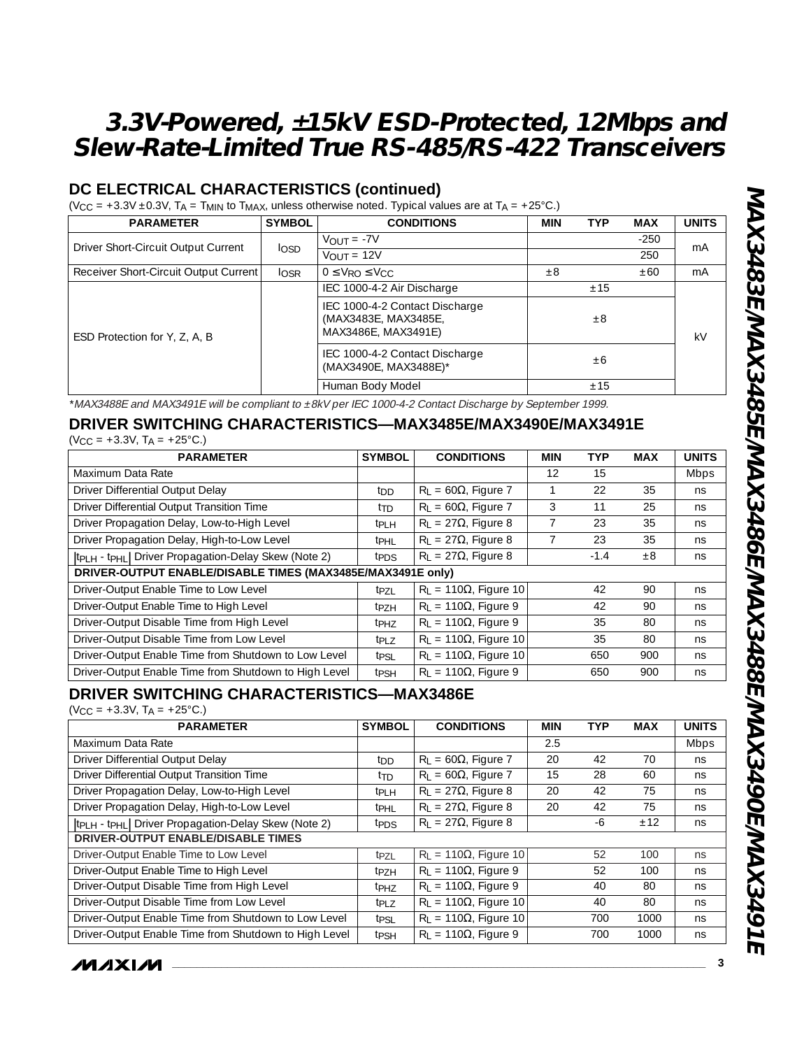### **DC ELECTRICAL CHARACTERISTICS (continued)**

 $(V_{CC} = +3.3V \pm 0.3V$ ,  $T_A = T_{MIN}$  to  $T_{MAX}$ , unless otherwise noted. Typical values are at  $T_A = +25^{\circ}$ C.)

| <b>PARAMETER</b>                      | <b>SYMBOL</b> | <b>CONDITIONS</b>                                                             | <b>MIN</b> | <b>TYP</b> | <b>MAX</b> | <b>UNITS</b> |
|---------------------------------------|---------------|-------------------------------------------------------------------------------|------------|------------|------------|--------------|
| Driver Short-Circuit Output Current   |               | $V_{OUIT} = -7V$                                                              |            |            | $-250$     | mA           |
|                                       | <b>losp</b>   | $V_{OUIT} = 12V$                                                              |            |            | 250        |              |
| Receiver Short-Circuit Output Current | $I_{OSR}$     | $0 \leq V_{RO} \leq V_{CC}$                                                   | $\pm 8$    |            | ±60        | mA           |
|                                       |               | IEC 1000-4-2 Air Discharge                                                    |            | ±15        |            |              |
| ESD Protection for Y, Z, A, B         |               | IEC 1000-4-2 Contact Discharge<br>(MAX3483E, MAX3485E,<br>MAX3486E, MAX3491E) |            | $\pm 8$    |            | kV           |
|                                       |               | IEC 1000-4-2 Contact Discharge<br>(MAX3490E, MAX3488E)*                       |            | ±6         |            |              |
|                                       |               | Human Body Model                                                              |            | ±15        |            |              |

\*MAX3488E and MAX3491E will be compliant to ±8kV per IEC 1000-4-2 Contact Discharge by September 1999.

# **DRIVER SWITCHING CHARACTERISTICS—MAX3485E/MAX3490E/MAX3491E**

| $(V_{CC} = +3.3V, T_A = +25°C.)$ |  |
|----------------------------------|--|
|----------------------------------|--|

| <b>PARAMETER</b>                                                             | <b>SYMBOL</b>           | <b>CONDITIONS</b>             | <b>MIN</b> | <b>TYP</b> | MAX     | <b>UNITS</b> |
|------------------------------------------------------------------------------|-------------------------|-------------------------------|------------|------------|---------|--------------|
| Maximum Data Rate                                                            |                         |                               | 12         | 15         |         | <b>Mbps</b>  |
| Driver Differential Output Delay                                             | ton.                    | $R_1 = 60\Omega$ , Figure 7   |            | 22         | 35      | ns           |
| Driver Differential Output Transition Time                                   | t <sub>TD</sub>         | $R_L = 60\Omega$ , Figure 7   | 3          | 11         | 25      | ns           |
| Driver Propagation Delay, Low-to-High Level                                  | $tpl$ H                 | $R_L = 27\Omega$ , Figure 8   |            | 23         | 35      | ns           |
| Driver Propagation Delay, High-to-Low Level                                  | t <sub>PHL</sub>        | $R_1 = 27\Omega$ , Figure 8   |            | 23         | 35      | ns           |
| tp <sub>LH</sub> - tp <sub>HL</sub>   Driver Propagation-Delay Skew (Note 2) | t <sub>PDS</sub>        | $R_L = 27\Omega$ , Figure 8   |            | $-1.4$     | $\pm 8$ | ns           |
| DRIVER-OUTPUT ENABLE/DISABLE TIMES (MAX3485E/MAX3491E only)                  |                         |                               |            |            |         |              |
| Driver-Output Enable Time to Low Level                                       | tpzi                    | $R_1 = 110\Omega$ , Figure 10 |            | 42         | 90      | ns           |
| Driver-Output Enable Time to High Level                                      | t <sub>P7H</sub>        | $R_1 = 110\Omega$ , Figure 9  |            | 42         | 90      | ns           |
| Driver-Output Disable Time from High Level                                   | t <sub>PH7</sub>        | $R_L = 110\Omega$ , Figure 9  |            | 35         | 80      | ns           |
| Driver-Output Disable Time from Low Level                                    | $tpl$ 7                 | $R_L = 110\Omega$ , Figure 10 |            | 35         | 80      | ns           |
| Driver-Output Enable Time from Shutdown to Low Level                         | tpsi                    | $R_1 = 110\Omega$ , Figure 10 |            | 650        | 900     | ns           |
| Driver-Output Enable Time from Shutdown to High Level                        | <b>t</b> <sub>PSH</sub> | $R_1 = 110\Omega$ , Figure 9  |            | 650        | 900     | ns           |

### **DRIVER SWITCHING CHARACTERISTICS—MAX3486E**

 $(V_{CC} = +3.3V, T_A = +25°C.)$ 

| <b>PARAMETER</b>                                      | <b>SYMBOL</b>    | <b>CONDITIONS</b>                | <b>MIN</b> | <b>TYP</b> | <b>MAX</b> | <b>UNITS</b> |
|-------------------------------------------------------|------------------|----------------------------------|------------|------------|------------|--------------|
| Maximum Data Rate                                     |                  |                                  | 2.5        |            |            | <b>Mbps</b>  |
| Driver Differential Output Delay                      | t <sub>DD</sub>  | $R_1 = 60\Omega$ , Figure 7      | 20         | 42         | 70         | ns           |
| Driver Differential Output Transition Time            | t <sub>TD</sub>  | $R_L = 60\Omega$ , Figure 7      | 15         | 28         | 60         | ns           |
| Driver Propagation Delay, Low-to-High Level           | t <sub>PLH</sub> | $R_L = 27\Omega$ , Figure 8      | 20         | 42         | 75         | ns           |
| Driver Propagation Delay, High-to-Low Level           | t <sub>PHL</sub> | $R_1 = 27\Omega$ , Figure 8      | 20         | 42         | 75         | ns           |
| tpLH - tpHL Driver Propagation-Delay Skew (Note 2)    | t <sub>PDS</sub> | $R_1 = 27\Omega$ , Figure 8      |            | -6         | ±12        | ns           |
| <b>DRIVER-OUTPUT ENABLE/DISABLE TIMES</b>             |                  |                                  |            |            |            |              |
| Driver-Output Enable Time to Low Level                | t <sub>PZL</sub> | $R_1 = 110\Omega$ , Figure 10    |            | 52         | 100        | ns.          |
| Driver-Output Enable Time to High Level               | t <sub>P7H</sub> | $R_1 = 110\Omega$ , Figure 9     |            | 52         | 100        | ns           |
| Driver-Output Disable Time from High Level            | <sup>t</sup> PHZ | $R_1 = 110\Omega$ , Figure 9     |            | 40         | 80         | ns           |
| Driver-Output Disable Time from Low Level             | t <sub>PLZ</sub> | $R_L$ = 110 $\Omega$ , Figure 10 |            | 40         | 80         | ns           |
| Driver-Output Enable Time from Shutdown to Low Level  | t <sub>PSL</sub> | $R_1 = 110\Omega$ , Figure 10    |            | 700        | 1000       | ns           |
| Driver-Output Enable Time from Shutdown to High Level | t <sub>PSH</sub> | $R_1 = 110\Omega$ , Figure 9     |            | 700        | 1000       | ns           |

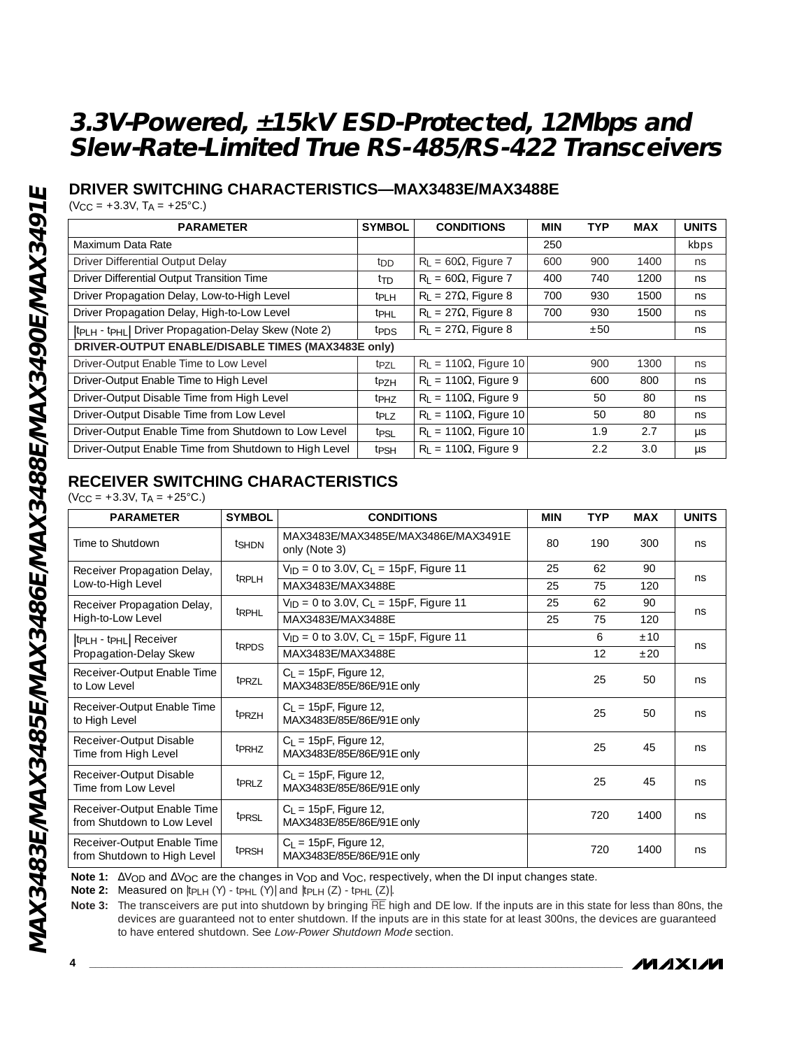### **DRIVER SWITCHING CHARACTERISTICS—MAX3483E/MAX3488E**

 $(V_{CC} = +3.3V, T_A = +25°C.)$ 

| <b>PARAMETER</b>                                                             | <b>SYMBOL</b>     | <b>CONDITIONS</b>                | <b>MIN</b> | <b>TYP</b> | <b>MAX</b> | <b>UNITS</b> |
|------------------------------------------------------------------------------|-------------------|----------------------------------|------------|------------|------------|--------------|
| Maximum Data Rate                                                            |                   |                                  | 250        |            |            | kbps         |
| Driver Differential Output Delay                                             | ton               | $R_1 = 60\Omega$ , Figure 7      | 600        | 900        | 1400       | ns           |
| Driver Differential Output Transition Time                                   | t <sub>TD</sub>   | $R_1 = 60\Omega$ , Figure 7      | 400        | 740        | 1200       | ns           |
| Driver Propagation Delay, Low-to-High Level                                  | t <sub>PI</sub> H | $R_1 = 27\Omega$ , Figure 8      | 700        | 930        | 1500       | ns           |
| Driver Propagation Delay, High-to-Low Level                                  | t <sub>PHI</sub>  | $R_L = 27\Omega$ , Figure 8      | 700        | 930        | 1500       | ns           |
| tp <sub>LH</sub> - tp <sub>HL</sub>   Driver Propagation-Delay Skew (Note 2) | t <sub>PDS</sub>  | $R_1 = 27\Omega$ , Figure 8      |            | ±50        |            | ns           |
| DRIVER-OUTPUT ENABLE/DISABLE TIMES (MAX3483E only)                           |                   |                                  |            |            |            |              |
| Driver-Output Enable Time to Low Level                                       | $tpz_1$           | $R_1 = 110\Omega$ , Figure 10    |            | 900        | 1300       | ns           |
| Driver-Output Enable Time to High Level                                      | t <sub>P7H</sub>  | $R_L = 110\Omega$ , Figure 9     |            | 600        | 800        | ns           |
| Driver-Output Disable Time from High Level                                   | t <sub>PH7</sub>  | $R_1 = 110\Omega$ , Figure 9     |            | 50         | 80         | ns           |
| Driver-Output Disable Time from Low Level                                    | t <sub>PLZ</sub>  | $R_L$ = 110 $\Omega$ , Figure 10 |            | 50         | 80         | ns           |
| Driver-Output Enable Time from Shutdown to Low Level                         | tpsi              | $R_1 = 110\Omega$ , Figure 10    |            | 1.9        | 2.7        | <b>US</b>    |
| Driver-Output Enable Time from Shutdown to High Level                        | t <sub>PSH</sub>  | $R_1 = 110\Omega$ , Figure 9     |            | 2.2        | 3.0        | μs           |

### **RECEIVER SWITCHING CHARACTERISTICS**

 $(V_{CC} = +3.3V, T_A = +25°C.)$ 

| <b>PARAMETER</b>                                           | <b>SYMBOL</b>     | <b>CONDITIONS</b>                                      | <b>MIN</b> | <b>TYP</b> | <b>MAX</b> | <b>UNITS</b> |
|------------------------------------------------------------|-------------------|--------------------------------------------------------|------------|------------|------------|--------------|
| Time to Shutdown                                           | tshDN             | MAX3483F/MAX3485F/MAX3486F/MAX3491F<br>only (Note 3)   | 80         | 190        | 300        | ns           |
| Receiver Propagation Delay,                                | t <sub>RPLH</sub> | $V_{ID} = 0$ to 3.0V, $C_L = 15pF$ , Figure 11         | 25         | 62         | 90         | ns           |
| Low-to-High Level                                          |                   | MAX3483E/MAX3488E                                      | 25         | 75         | 120        |              |
| Receiver Propagation Delay,                                | t <sub>RPHL</sub> | $V_{ID} = 0$ to 3.0V, $C_L = 15pF$ , Figure 11         | 25         | 62         | 90         | ns           |
| High-to-Low Level                                          |                   | MAX3483E/MAX3488E                                      | 25         | 75         | 120        |              |
| tp <sub>LH</sub> - tp <sub>HL</sub>   Receiver             | t <sub>RPDS</sub> | $V_{ID} = 0$ to 3.0V, $C_I = 15pF$ , Figure 11         |            | 6          | ±10        | ns           |
| Propagation-Delay Skew                                     |                   | MAX3483F/MAX3488F                                      |            | 12         | $+20$      |              |
| Receiver-Output Enable Time<br>to Low Level                | t <sub>PRZL</sub> | $C_1 = 15pF$ , Figure 12,<br>MAX3483E/85E/86E/91E only |            | 25         | 50         | ns           |
| Receiver-Output Enable Time<br>to High Level               | t <sub>PRZH</sub> | $C_L = 15pF$ , Figure 12,<br>MAX3483E/85E/86E/91E only |            | 25         | 50         | ns           |
| Receiver-Output Disable<br>Time from High Level            | t <sub>PRHZ</sub> | $C_L = 15pF$ , Figure 12,<br>MAX3483E/85E/86E/91E only |            | 25         | 45         | ns           |
| Receiver-Output Disable<br>Time from Low Level             | t <sub>PRLZ</sub> | $C_L = 15pF$ , Figure 12,<br>MAX3483E/85E/86E/91E only |            | 25         | 45         | ns           |
| Receiver-Output Enable Time<br>from Shutdown to Low Level  | tprsL             | $C_L = 15pF$ , Figure 12,<br>MAX3483E/85E/86E/91E only |            | 720        | 1400       | ns           |
| Receiver-Output Enable Time<br>from Shutdown to High Level | t <sub>PRSH</sub> | $C_L = 15pF$ , Figure 12,<br>MAX3483E/85E/86E/91E only |            | 720        | 1400       | ns           |

Note 1: ∆V<sub>OD</sub> and ∆V<sub>OC</sub> are the changes in V<sub>OD</sub> and V<sub>OC</sub>, respectively, when the DI input changes state.

**Note 2:** Measured on |tPLH (Y) - tPHL (Y)| and |tPLH (Z) - tPHL (Z)|.

**Note 3:** The transceivers are put into shutdown by bringing RE high and DE low. If the inputs are in this state for less than 80ns, the devices are guaranteed not to enter shutdown. If the inputs are in this state for at least 300ns, the devices are guaranteed to have entered shutdown. See Low-Power Shutdown Mode section.

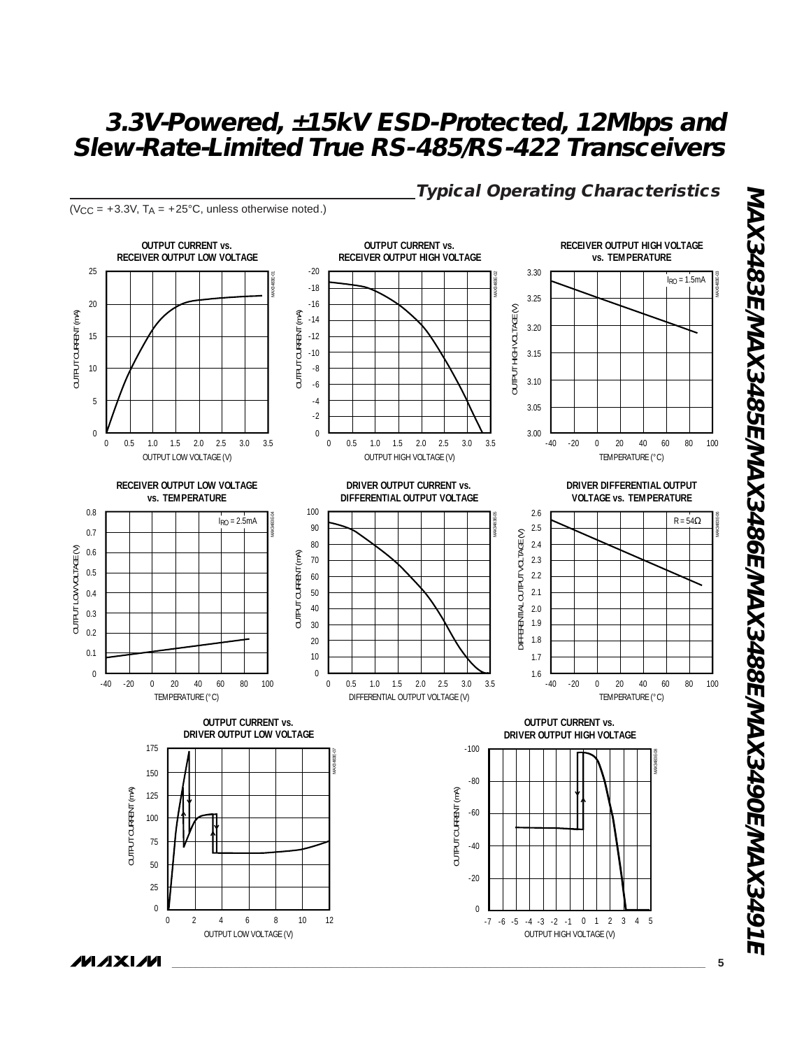

 $(V_{CC} = +3.3V, T_A = +25°C,$  unless otherwise noted.)

**Typical Operating Characteristics**

**MAX3483E/MAX3485E/MAX3486E/MAX3488E/MAX3490E/MAX3491E** MAX3483E/MAX3485E/MAX3486E/MAX3488E/MAX3490E/MAX3491E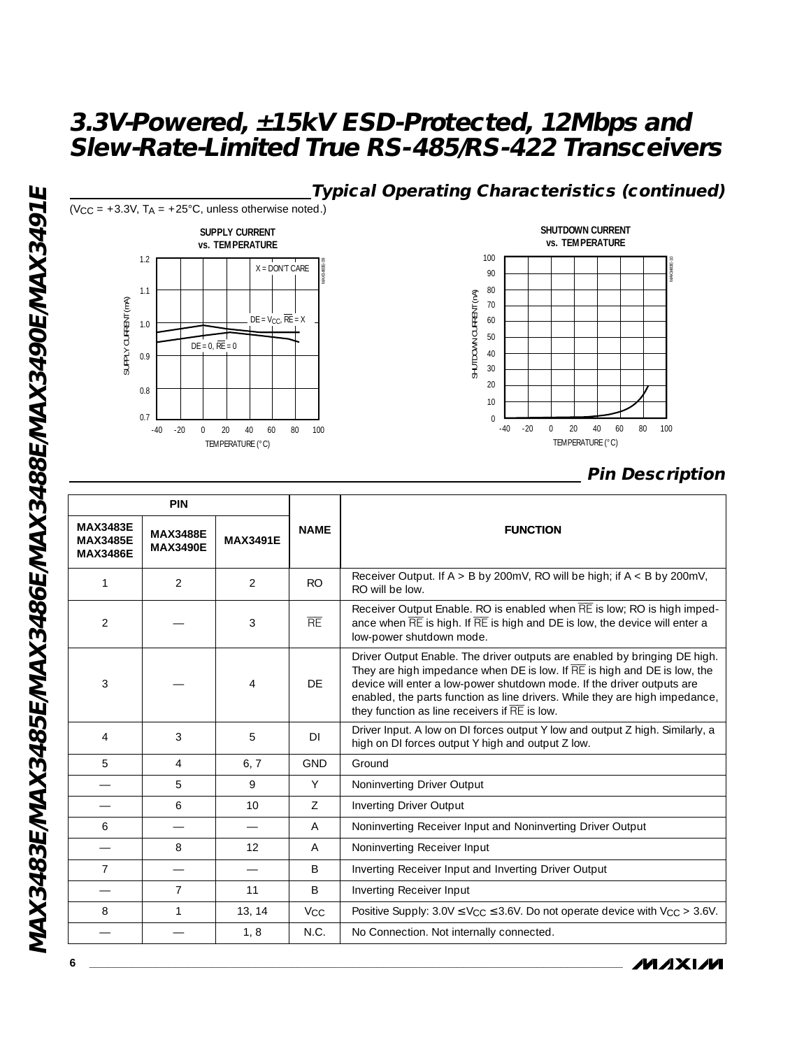

|                                                       | <b>PIN</b>                         |                 |                       |                                                                                                                                                                                                                                                                                                                                                                 |  |  |
|-------------------------------------------------------|------------------------------------|-----------------|-----------------------|-----------------------------------------------------------------------------------------------------------------------------------------------------------------------------------------------------------------------------------------------------------------------------------------------------------------------------------------------------------------|--|--|
| <b>MAX3483E</b><br><b>MAX3485E</b><br><b>MAX3486E</b> | <b>MAX3488E</b><br><b>MAX3490E</b> | <b>MAX3491E</b> | <b>NAME</b>           | <b>FUNCTION</b>                                                                                                                                                                                                                                                                                                                                                 |  |  |
| 1                                                     | 2                                  | $\mathcal{P}$   | <b>RO</b>             | Receiver Output. If $A > B$ by 200mV, RO will be high; if $A < B$ by 200mV,<br>RO will be low.                                                                                                                                                                                                                                                                  |  |  |
| $\overline{2}$                                        |                                    | 3               | RE                    | Receiver Output Enable. RO is enabled when RE is low; RO is high imped-<br>ance when RE is high. If RE is high and DE is low, the device will enter a<br>low-power shutdown mode.                                                                                                                                                                               |  |  |
| 3                                                     |                                    | $\overline{4}$  | DF                    | Driver Output Enable. The driver outputs are enabled by bringing DE high.<br>They are high impedance when DE is low. If RE is high and DE is low, the<br>device will enter a low-power shutdown mode. If the driver outputs are<br>enabled, the parts function as line drivers. While they are high impedance,<br>they function as line receivers if RE is low. |  |  |
| 4                                                     | 3                                  | 5               | DI                    | Driver Input. A low on DI forces output Y low and output Z high. Similarly, a<br>high on DI forces output Y high and output Z low.                                                                                                                                                                                                                              |  |  |
| 5                                                     | $\overline{4}$                     | 6, 7            | <b>GND</b>            | Ground                                                                                                                                                                                                                                                                                                                                                          |  |  |
|                                                       | 5                                  | 9               | Y                     | Noninverting Driver Output                                                                                                                                                                                                                                                                                                                                      |  |  |
|                                                       | 6                                  | 10 <sup>1</sup> | $\overline{7}$        | Inverting Driver Output                                                                                                                                                                                                                                                                                                                                         |  |  |
| 6                                                     | $\overline{\phantom{0}}$           |                 | A                     | Noninverting Receiver Input and Noninverting Driver Output                                                                                                                                                                                                                                                                                                      |  |  |
|                                                       | 8                                  | 12              | A                     | Noninverting Receiver Input                                                                                                                                                                                                                                                                                                                                     |  |  |
| $\overline{7}$                                        |                                    |                 | B                     | Inverting Receiver Input and Inverting Driver Output                                                                                                                                                                                                                                                                                                            |  |  |
|                                                       | 7                                  | 11              | B                     | Inverting Receiver Input                                                                                                                                                                                                                                                                                                                                        |  |  |
| 8                                                     | 1                                  | 13, 14          | <b>V<sub>CC</sub></b> | Positive Supply: $3.0V \leq V_{CC} \leq 3.6V$ . Do not operate device with $V_{CC} > 3.6V$ .                                                                                                                                                                                                                                                                    |  |  |
|                                                       |                                    | 1, 8            | N.C.                  | No Connection. Not internally connected.                                                                                                                                                                                                                                                                                                                        |  |  |

**MAXIM** 

**6 \_\_\_\_\_\_\_\_\_\_\_\_\_\_\_\_\_\_\_\_\_\_\_\_\_\_\_\_\_\_\_\_\_\_\_\_\_\_\_\_\_\_\_\_\_\_\_\_\_\_\_\_\_\_\_\_\_\_\_\_\_\_\_\_\_\_\_\_\_\_\_\_\_\_\_\_\_\_\_\_\_\_\_\_\_\_\_**

NIAX3483EMAX3485EMAX3486EMAX3488EMAX3490EMIAX3491E **MAX3483E/MAX3485E/MAX3486E/MAX3488E/MAX3490E/MAX3491E**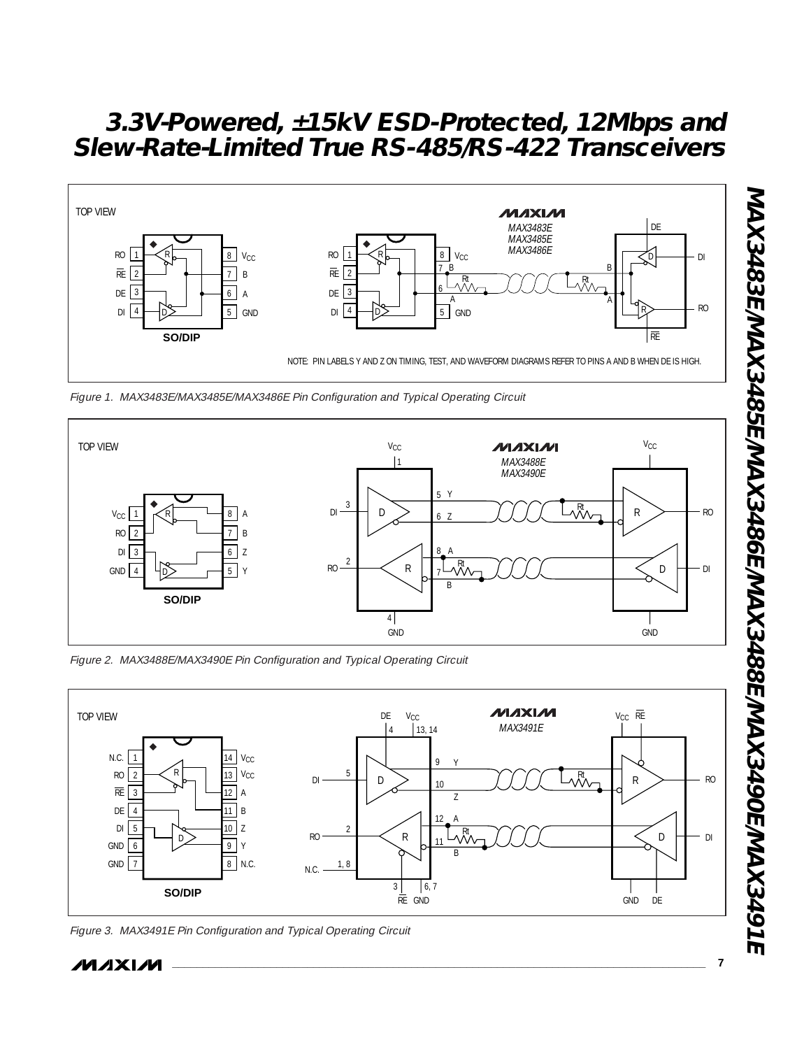

Figure 1. MAX3483E/MAX3485E/MAX3486E Pin Configuration and Typical Operating Circuit



Figure 2. MAX3488E/MAX3490E Pin Configuration and Typical Operating Circuit



**\_\_\_\_\_\_\_\_\_\_\_\_\_\_\_\_\_\_\_\_\_\_\_\_\_\_\_\_\_\_\_\_\_\_\_\_\_\_\_\_\_\_\_\_\_\_\_\_\_\_\_\_\_\_\_\_\_\_\_\_\_\_\_\_\_\_\_\_\_\_\_\_\_\_\_\_\_\_\_\_\_\_\_\_\_\_\_ 7**

Figure 3. MAX3491E Pin Configuration and Typical Operating Circuit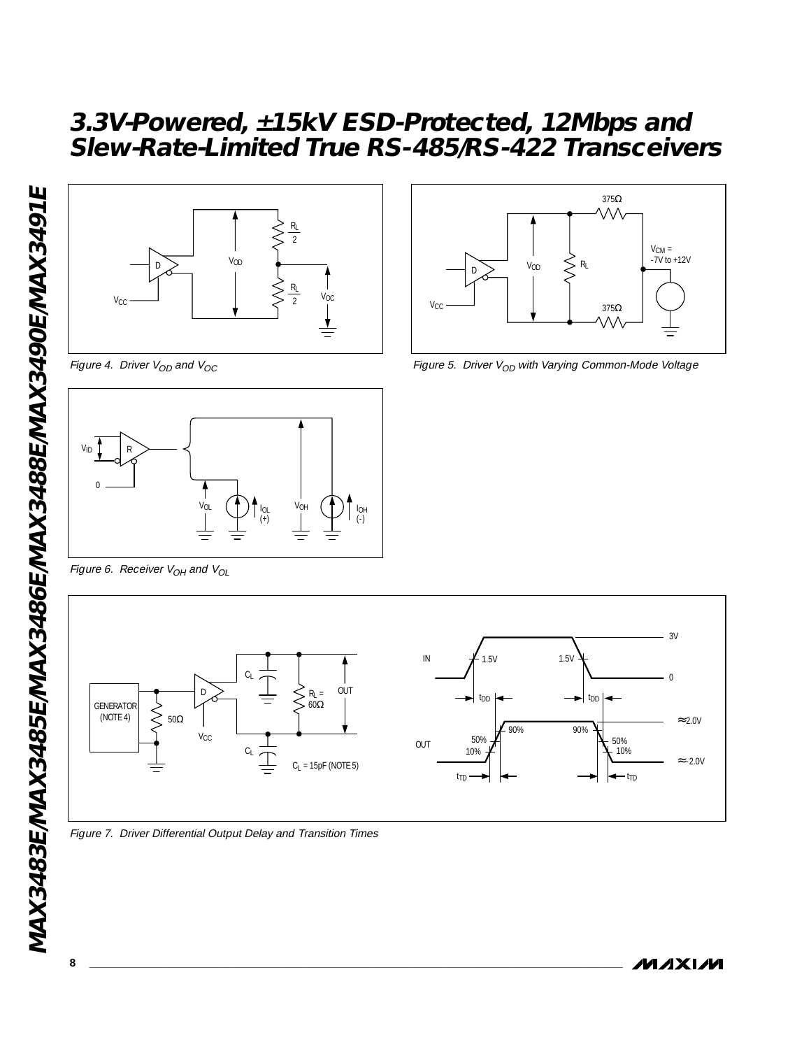

Figure 4. Driver  $V_{OD}$  and  $V_{OC}$ 





Figure 5. Driver  $V_{OD}$  with Varying Common-Mode Voltage

Figure 6. Receiver  $V_{OH}$  and  $V_{OL}$ 



Figure 7. Driver Differential Output Delay and Transition Times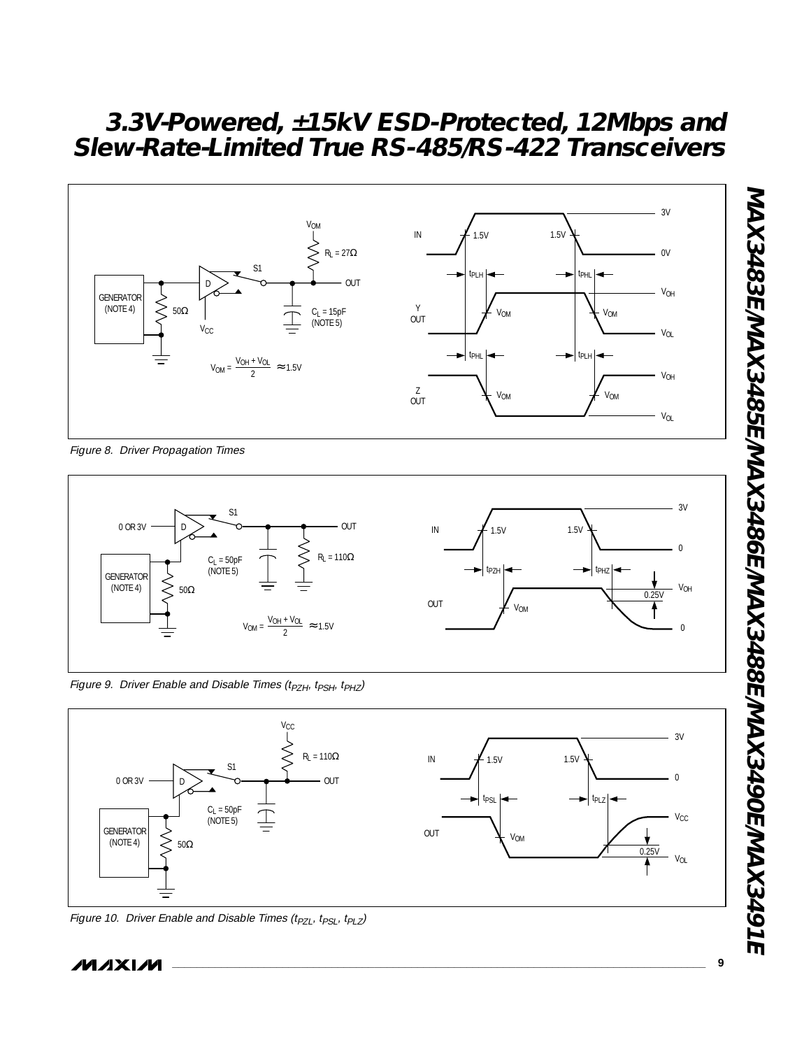

Figure 8. Driver Propagation Times



Figure 9. Driver Enable and Disable Times (t<sub>PZH</sub>, t<sub>PSH</sub>, t<sub>PHZ</sub>)



Figure 10. Driver Enable and Disable Times (t<sub>PZL</sub>, t<sub>PSL</sub>, t<sub>PLZ</sub>)

**MAXM**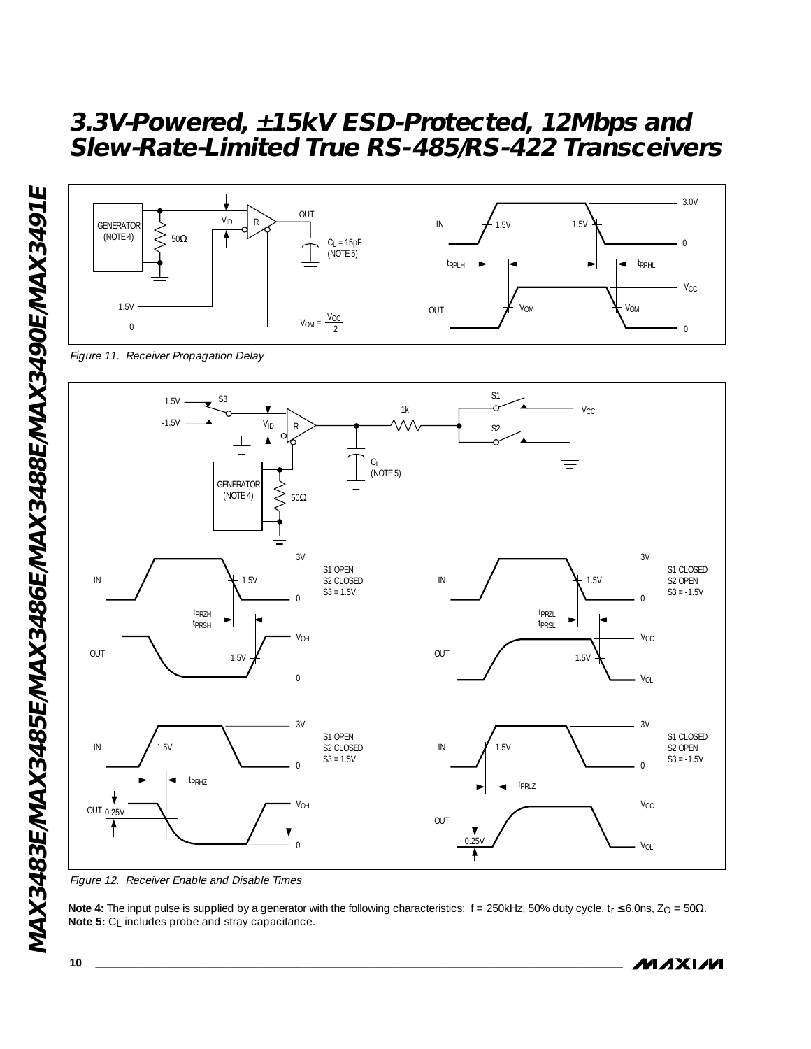

Note 4: The input pulse is supplied by a generator with the following characteristics: f = 250kHz, 50% duty cycle, t<sub>r</sub> ≤ 6.0ns, Z<sub>O</sub> = 50Ω. **Note 5:** C<sub>L</sub> includes probe and stray capacitance.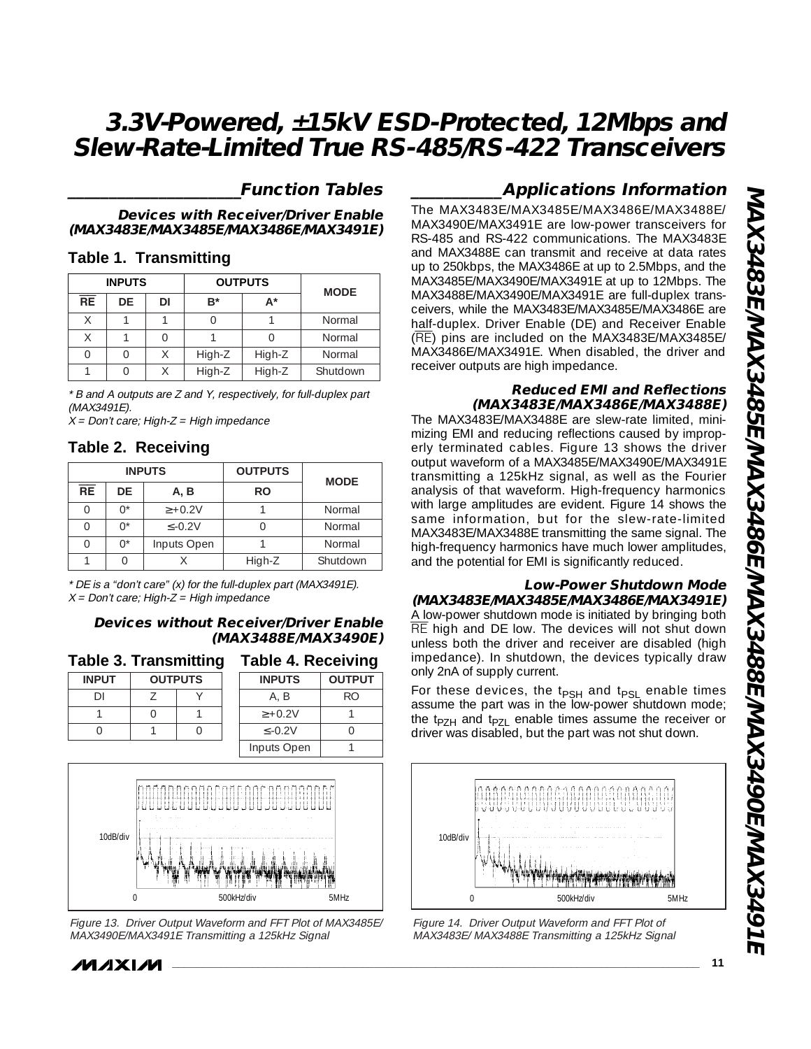### **\_\_\_\_\_\_\_\_\_\_\_\_\_\_\_\_\_\_\_\_\_Function Tables**

**Devices with Receiver/Driver Enable (MAX3483E/MAX3485E/MAX3486E/MAX3491E)**

#### **Table 1. Transmitting**

|                 | <b>INPUTS</b> |    | <b>OUTPUTS</b> | <b>MODE</b> |          |
|-----------------|---------------|----|----------------|-------------|----------|
| $\overline{RE}$ | DE            | DI | B*             | A*          |          |
| Χ               |               |    |                |             | Normal   |
| Υ               |               |    |                |             | Normal   |
|                 |               |    | High-Z         | High-Z      | Normal   |
|                 |               |    | High-Z         | High-Z      | Shutdown |

\* B and A outputs are Z and Y, respectively, for full-duplex part (MAX3491E).

 $X = Don't care; High-Z = High impedance$ 

#### **Table 2. Receiving**

| <b>INPUTS</b>   |             |              | <b>OUTPUTS</b> | <b>MODE</b> |
|-----------------|-------------|--------------|----------------|-------------|
| $\overline{RE}$ | DE          | A, B         | RO             |             |
|                 | $\bigcap^*$ | $\ge +0.2V$  |                | Normal      |
|                 | ∩*          | $\leq$ -0.2V |                | Normal      |
|                 | ∩*          | Inputs Open  |                | Normal      |
|                 |             |              | High-Z         | Shutdown    |

\* DE is a "don't care" (x) for the full-duplex part (MAX3491E).  $X = Don't care; High-Z = High impedance$ 

#### **Devices without Receiver/Driver Enable (MAX3488E/MAX3490E)**

| Table 3. Transmitting |                |  |  |  |  |  |
|-----------------------|----------------|--|--|--|--|--|
| <b>INPUT</b>          | <b>OUTPUTS</b> |  |  |  |  |  |
|                       |                |  |  |  |  |  |
|                       |                |  |  |  |  |  |
|                       |                |  |  |  |  |  |
|                       |                |  |  |  |  |  |

| <b>Table 4. Receiving</b> |               |  |  |  |
|---------------------------|---------------|--|--|--|
| <b>INPUTS</b>             | <b>OUTPUT</b> |  |  |  |
| A. B                      | RO            |  |  |  |
| $> +0.2V$                 |               |  |  |  |
| $\leq -0.2V$              |               |  |  |  |
| Inputs Open               |               |  |  |  |



Figure 13. Driver Output Waveform and FFT Plot of MAX3485E/ MAX3490E/MAX3491E Transmitting a 125kHz Signal

### *MAXM*

### **\_\_\_\_\_\_\_\_\_\_\_Applications Information**

The MAX3483E/MAX3485E/MAX3486E/MAX3488E/ MAX3490E/MAX3491E are low-power transceivers for RS-485 and RS-422 communications. The MAX3483E and MAX3488E can transmit and receive at data rates up to 250kbps, the MAX3486E at up to 2.5Mbps, and the MAX3485E/MAX3490E/MAX3491E at up to 12Mbps. The MAX3488E/MAX3490E/MAX3491E are full-duplex transceivers, while the MAX3483E/MAX3485E/MAX3486E are half-duplex. Driver Enable (DE) and Receiver Enable (RE) pins are included on the MAX3483E/MAX3485E/ MAX3486E/MAX3491E. When disabled, the driver and receiver outputs are high impedance.

#### **Reduced EMI and Reflections (MAX3483E/MAX3486E/MAX3488E)**

The MAX3483E/MAX3488E are slew-rate limited, minimizing EMI and reducing reflections caused by improperly terminated cables. Figure 13 shows the driver output waveform of a MAX3485E/MAX3490E/MAX3491E transmitting a 125kHz signal, as well as the Fourier analysis of that waveform. High-frequency harmonics with large amplitudes are evident. Figure 14 shows the same information, but for the slew-rate-limited MAX3483E/MAX3488E transmitting the same signal. The high-frequency harmonics have much lower amplitudes, and the potential for EMI is significantly reduced.

#### **Low-Power Shutdown Mode (MAX3483E/MAX3485E/MAX3486E/MAX3491E)**

A low-power shutdown mode is initiated by bringing both RE high and DE low. The devices will not shut down unless both the driver and receiver are disabled (high impedance). In shutdown, the devices typically draw only 2nA of supply current.

For these devices, the t<sub>PSH</sub> and t<sub>PSL</sub> enable times assume the part was in the low-power shutdown mode; the t<sub>PZH</sub> and t<sub>PZL</sub> enable times assume the receiver or driver was disabled, but the part was not shut down.



Figure 14. Driver Output Waveform and FFT Plot of MAX3483E/ MAX3488E Transmitting a 125kHz Signal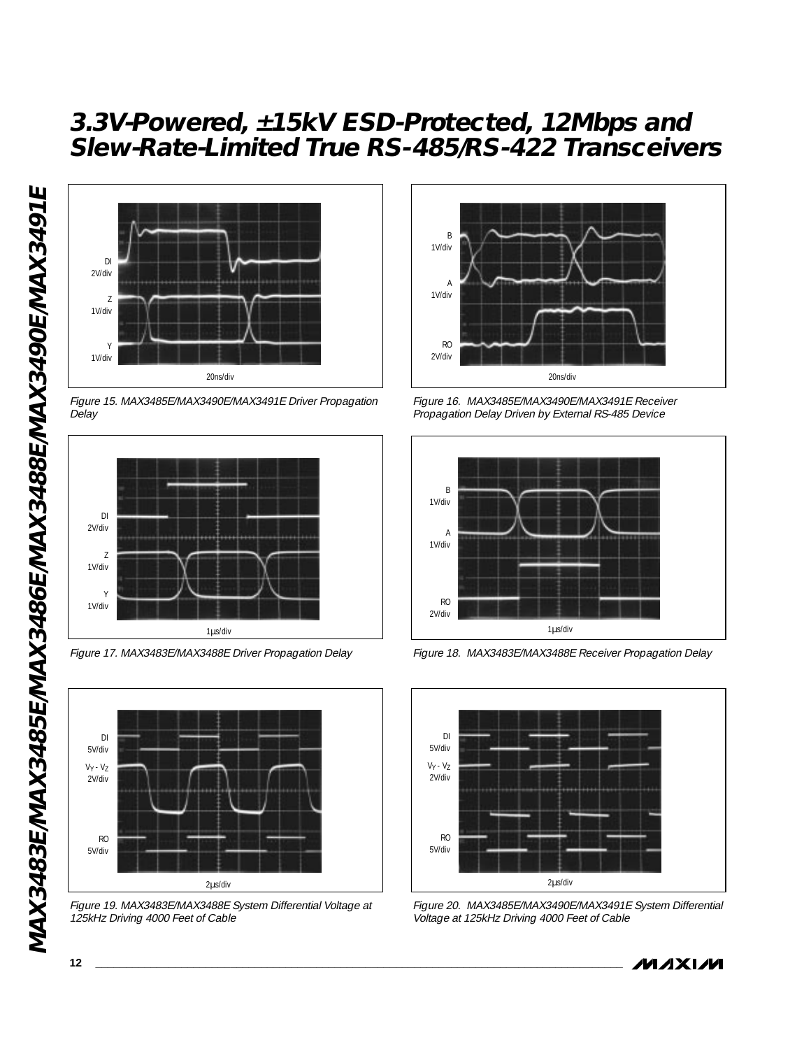

Figure 15. MAX3485E/MAX3490E/MAX3491E Driver Propagation Delay



Figure 17. MAX3483E/MAX3488E Driver Propagation Delay



Figure 19. MAX3483E/MAX3488E System Differential Voltage at 125kHz Driving 4000 Feet of Cable



Figure 16. MAX3485E/MAX3490E/MAX3491E Receiver Propagation Delay Driven by External RS-485 Device



Figure 18. MAX3483E/MAX3488E Receiver Propagation Delay



Figure 20. MAX3485E/MAX3490E/MAX3491E System Differential Voltage at 125kHz Driving 4000 Feet of Cable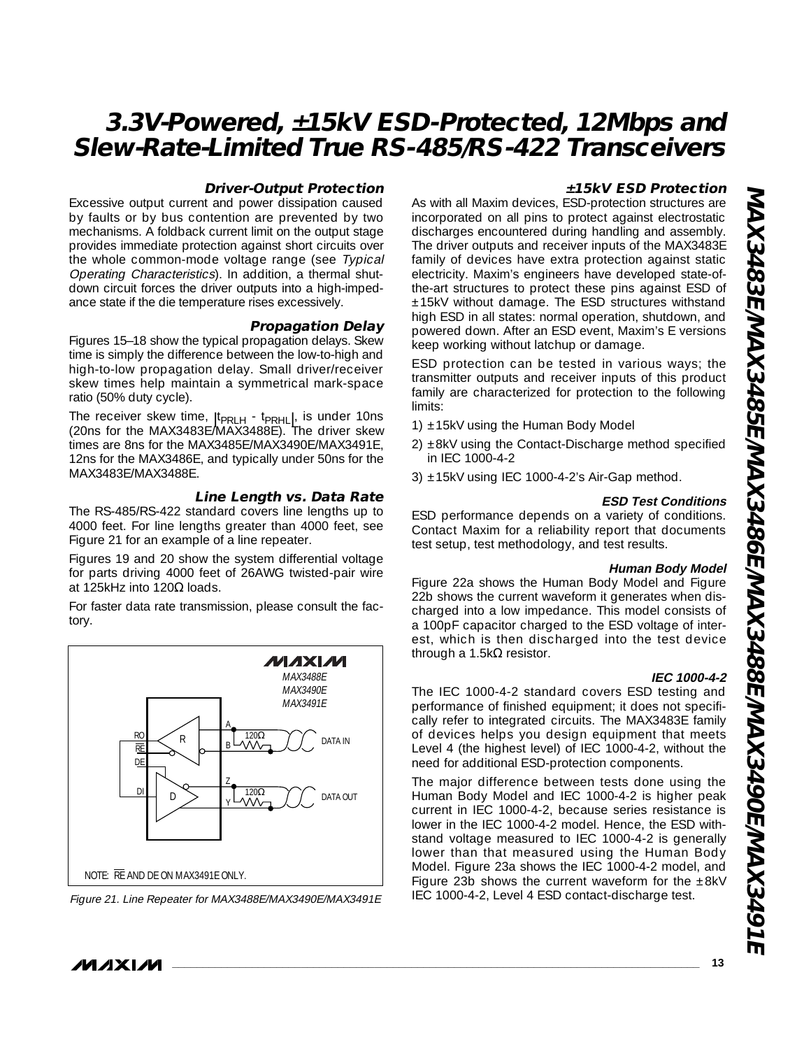#### **Driver-Output Protection**

Excessive output current and power dissipation caused by faults or by bus contention are prevented by two mechanisms. A foldback current limit on the output stage provides immediate protection against short circuits over the whole common-mode voltage range (see Typical Operating Characteristics). In addition, a thermal shutdown circuit forces the driver outputs into a high-impedance state if the die temperature rises excessively.

#### **Propagation Delay**

Figures 15–18 show the typical propagation delays. Skew time is simply the difference between the low-to-high and high-to-low propagation delay. Small driver/receiver skew times help maintain a symmetrical mark-space ratio (50% duty cycle).

The receiver skew time,  $|t_{PRLH} - t_{PRHL}|$ , is under 10ns (20ns for the MAX3483E/MAX3488E). The driver skew times are 8ns for the MAX3485E/MAX3490E/MAX3491E, 12ns for the MAX3486E, and typically under 50ns for the MAX3483E/MAX3488E.

#### **Line Length vs. Data Rate**

The RS-485/RS-422 standard covers line lengths up to 4000 feet. For line lengths greater than 4000 feet, see Figure 21 for an example of a line repeater.

Figures 19 and 20 show the system differential voltage for parts driving 4000 feet of 26AWG twisted-pair wire at 125kHz into 120Ω loads.

For faster data rate transmission, please consult the factory.





#### **±15kV ESD Protection**

As with all Maxim devices, ESD-protection structures are incorporated on all pins to protect against electrostatic discharges encountered during handling and assembly. The driver outputs and receiver inputs of the MAX3483E family of devices have extra protection against static electricity. Maxim's engineers have developed state-ofthe-art structures to protect these pins against ESD of ±15kV without damage. The ESD structures withstand high ESD in all states: normal operation, shutdown, and powered down. After an ESD event, Maxim's E versions keep working without latchup or damage.

ESD protection can be tested in various ways; the transmitter outputs and receiver inputs of this product family are characterized for protection to the following limits:

- 1)  $\pm$ 15kV using the Human Body Model
- 2) ±8kV using the Contact-Discharge method specified in IEC 1000-4-2
- 3) ±15kV using IEC 1000-4-2's Air-Gap method.

#### **ESD Test Conditions**

ESD performance depends on a variety of conditions. Contact Maxim for a reliability report that documents test setup, test methodology, and test results.

#### **Human Body Model**

Figure 22a shows the Human Body Model and Figure 22b shows the current waveform it generates when discharged into a low impedance. This model consists of a 100pF capacitor charged to the ESD voltage of interest, which is then discharged into the test device through a 1.5kΩ resistor.

#### **IEC 1000-4-2**

The IEC 1000-4-2 standard covers ESD testing and performance of finished equipment; it does not specifically refer to integrated circuits. The MAX3483E family of devices helps you design equipment that meets Level 4 (the highest level) of IEC 1000-4-2, without the need for additional ESD-protection components.

The major difference between tests done using the Human Body Model and IEC 1000-4-2 is higher peak current in IEC 1000-4-2, because series resistance is lower in the IEC 1000-4-2 model. Hence, the ESD withstand voltage measured to IEC 1000-4-2 is generally lower than that measured using the Human Body Model. Figure 23a shows the IEC 1000-4-2 model, and Figure 23b shows the current waveform for the  $\pm 8kV$ IEC 1000-4-2, Level 4 ESD contact-discharge test.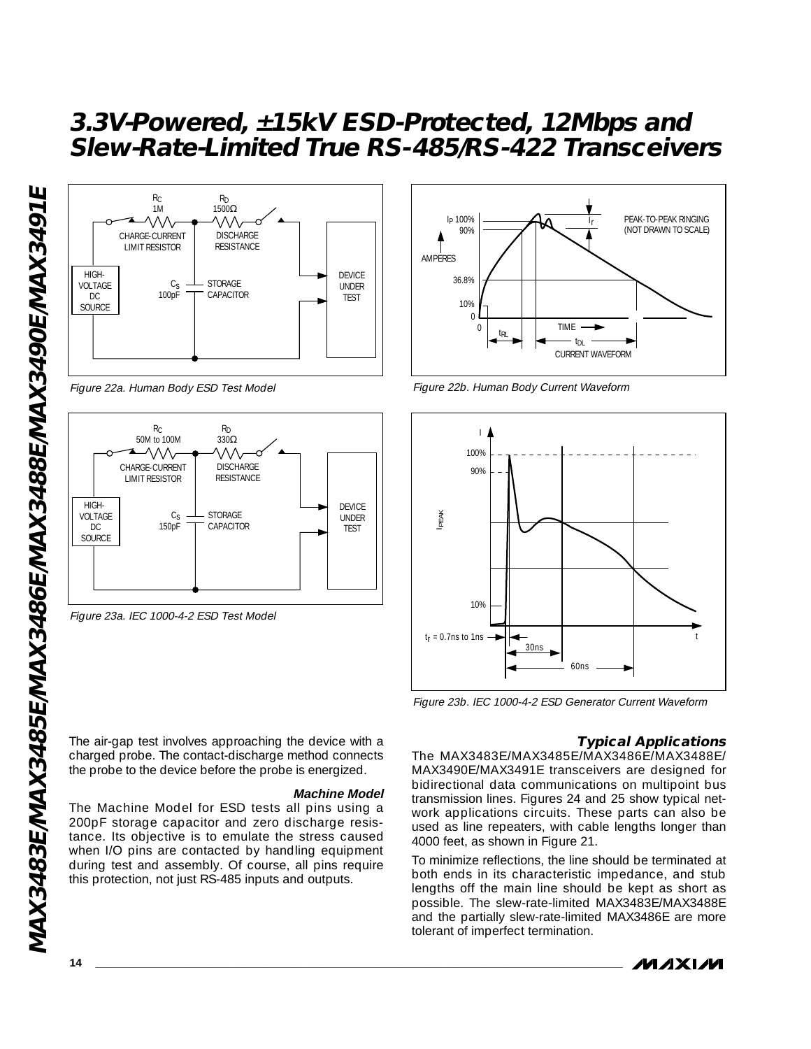

Figure 22a. Human Body ESD Test Model



Figure 23a. IEC 1000-4-2 ESD Test Model



#### **Machine Model**

The Machine Model for ESD tests all pins using a 200pF storage capacitor and zero discharge resistance. Its objective is to emulate the stress caused when I/O pins are contacted by handling equipment during test and assembly. Of course, all pins require this protection, not just RS-485 inputs and outputs.



Figure 22b. Human Body Current Waveform



Figure 23b. IEC 1000-4-2 ESD Generator Current Waveform

#### **Typical Applications**

The MAX3483E/MAX3485E/MAX3486E/MAX3488E/ MAX3490E/MAX3491E transceivers are designed for bidirectional data communications on multipoint bus transmission lines. Figures 24 and 25 show typical network applications circuits. These parts can also be used as line repeaters, with cable lengths longer than 4000 feet, as shown in Figure 21.

To minimize reflections, the line should be terminated at both ends in its characteristic impedance, and stub lengths off the main line should be kept as short as possible. The slew-rate-limited MAX3483E/MAX3488E and the partially slew-rate-limited MAX3486E are more tolerant of imperfect termination.

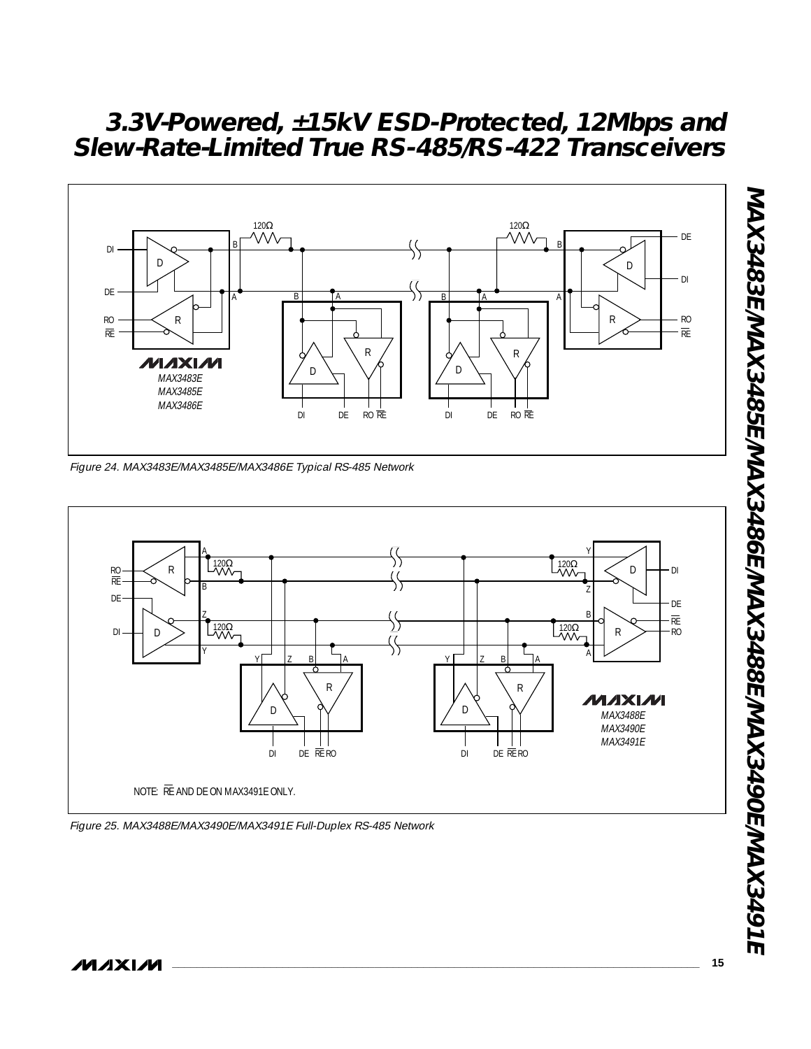

Figure 24. MAX3483E/MAX3485E/MAX3486E Typical RS-485 Network



Figure 25. MAX3488E/MAX3490E/MAX3491E Full-Duplex RS-485 Network